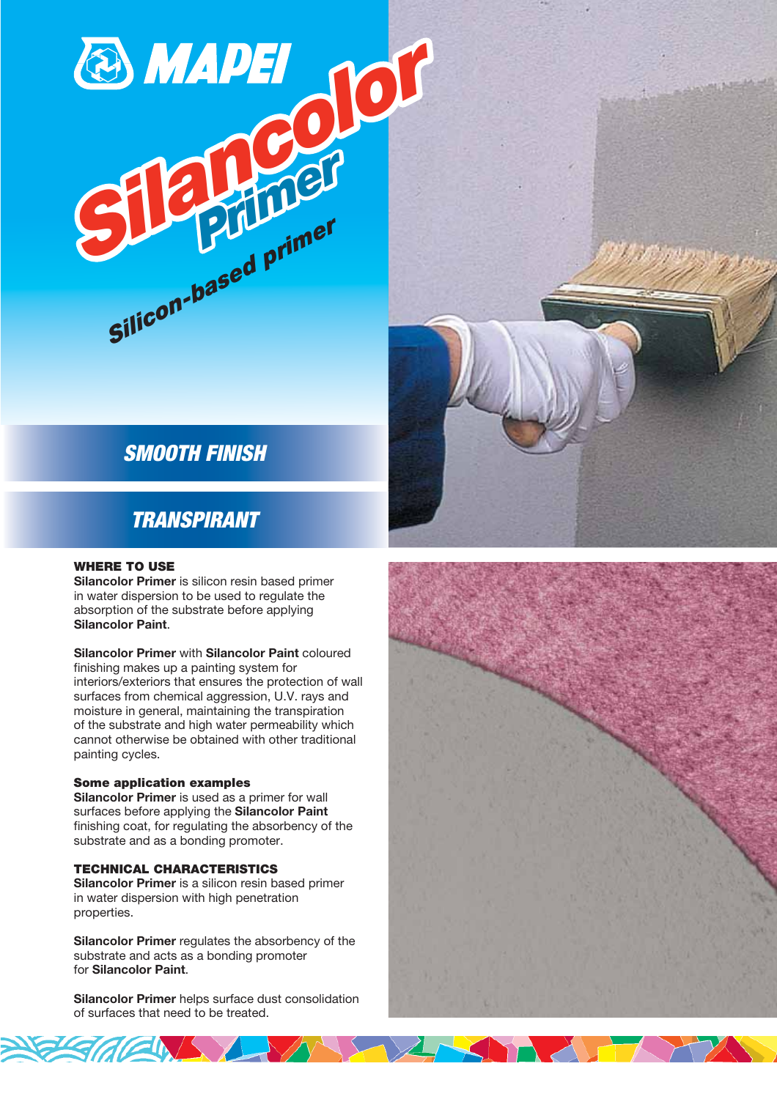# SMOOTH FINISH

**Silancolor** 

Silicon-based primer

Primer

## TRANSPIRANT

#### WHERE TO USE

Silancolor Primer is silicon resin based primer in water dispersion to be used to regulate the absorption of the substrate before applying Silancolor Paint.

Silancolor Primer with Silancolor Paint coloured finishing makes up a painting system for interiors/exteriors that ensures the protection of wall surfaces from chemical aggression, U.V. rays and moisture in general, maintaining the transpiration of the substrate and high water permeability which cannot otherwise be obtained with other traditional painting cycles.

#### Some application examples

Silancolor Primer is used as a primer for wall surfaces before applying the Silancolor Paint finishing coat, for regulating the absorbency of the substrate and as a bonding promoter.

#### TECHNICAL CHARACTERISTICS

Silancolor Primer is a silicon resin based primer in water dispersion with high penetration properties.

Silancolor Primer regulates the absorbency of the substrate and acts as a bonding promoter for Silancolor Paint.

Silancolor Primer helps surface dust consolidation of surfaces that need to be treated.

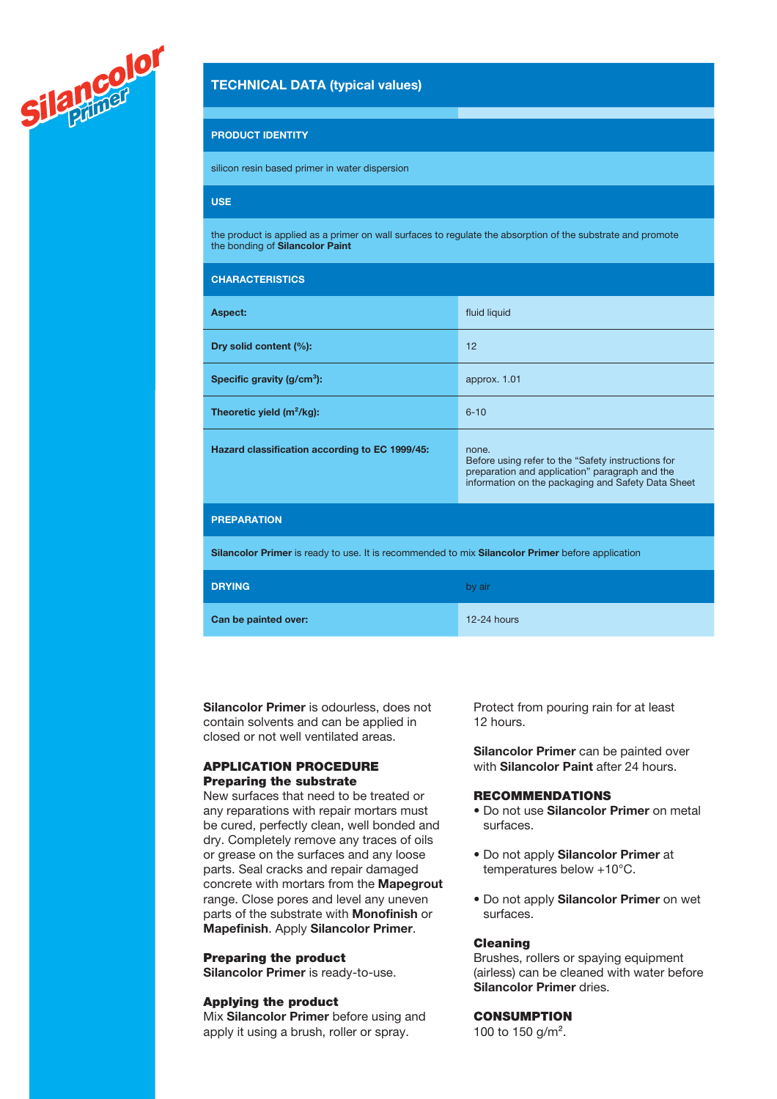

## TECHNICAL DATA (typical values)

#### PRODUCT IDENTITY

silicon resin based primer in water dispersion

## USE

the product is applied as a primer on wall surfaces to regulate the absorption of the substrate and promote the bonding of Silancolor Paint

| <b>CHARACTERISTICS</b>                                                                           |                                                                                                                                                                     |
|--------------------------------------------------------------------------------------------------|---------------------------------------------------------------------------------------------------------------------------------------------------------------------|
| Aspect:                                                                                          | fluid liquid                                                                                                                                                        |
| Dry solid content (%):                                                                           | 12                                                                                                                                                                  |
| Specific gravity $(g/cm3)$ :                                                                     | approx. 1.01                                                                                                                                                        |
| Theoretic yield $(m^2/kg)$ :                                                                     | $6 - 10$                                                                                                                                                            |
| Hazard classification according to EC 1999/45:                                                   | none.<br>Before using refer to the "Safety instructions for<br>preparation and application" paragraph and the<br>information on the packaging and Safety Data Sheet |
| <b>PREPARATION</b>                                                                               |                                                                                                                                                                     |
| Silancolor Primer is ready to use. It is recommended to mix Silancolor Primer before application |                                                                                                                                                                     |
| <b>DRYING</b>                                                                                    | by air                                                                                                                                                              |
| Can be painted over:                                                                             | $12-24$ hours                                                                                                                                                       |

Silancolor Primer is odourless, does not contain solvents and can be applied in closed or not well ventilated areas.

## APPLICATION PROCEDURE Preparing the substrate

New surfaces that need to be treated or any reparations with repair mortars must be cured, perfectly clean, well bonded and dry. Completely remove any traces of oils or grease on the surfaces and any loose parts. Seal cracks and repair damaged concrete with mortars from the Mapegrout range. Close pores and level any uneven parts of the substrate with Monofinish or Mapefinish. Apply Silancolor Primer.

#### Preparing the product

Silancolor Primer is ready-to-use.

#### Applying the product

Mix Silancolor Primer before using and apply it using a brush, roller or spray.

Protect from pouring rain for at least 12 hours.

Silancolor Primer can be painted over with **Silancolor Paint** after 24 hours.

## **RECOMMENDATIONS**

- Do not use Silancolor Primer on metal surfaces.
- Do not apply Silancolor Primer at temperatures below +10°C.
- Do not apply Silancolor Primer on wet surfaces.

#### Cleaning

Brushes, rollers or spaying equipment (airless) can be cleaned with water before Silancolor Primer dries.

#### **CONSUMPTION**

100 to 150 g/m<sup>2</sup>.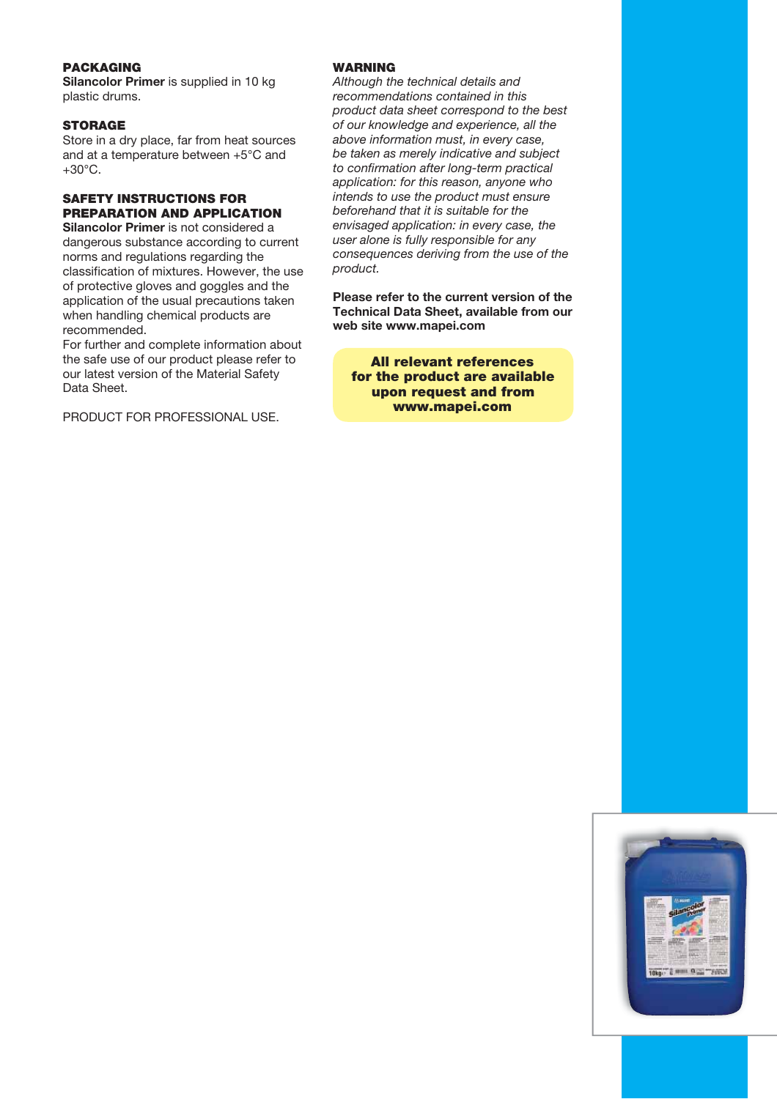## **PACKAGING**

Silancolor Primer is supplied in 10 kg plastic drums.

#### **STORAGE**

Store in a dry place, far from heat sources and at a temperature between +5°C and  $+30^{\circ}$ C.

## SAFETY INSTRUCTIONS FOR PREPARATION AND APPLICATION

Silancolor Primer is not considered a dangerous substance according to current norms and regulations regarding the classification of mixtures. However, the use of protective gloves and goggles and the application of the usual precautions taken when handling chemical products are recommended.

For further and complete information about the safe use of our product please refer to our latest version of the Material Safety Data Sheet.

PRODUCT FOR PROFESSIONAL USE.

## **WARNING**

Although the technical details and recommendations contained in this product data sheet correspond to the best of our knowledge and experience, all the above information must, in every case, be taken as merely indicative and subject to confirmation after long-term practical application: for this reason, anyone who intends to use the product must ensure beforehand that it is suitable for the envisaged application: in every case, the user alone is fully responsible for any consequences deriving from the use of the product.

Please refer to the current version of the Technical Data Sheet, available from our web site www.mapei.com

All relevant references for the product are available upon request and from www.mapei.com